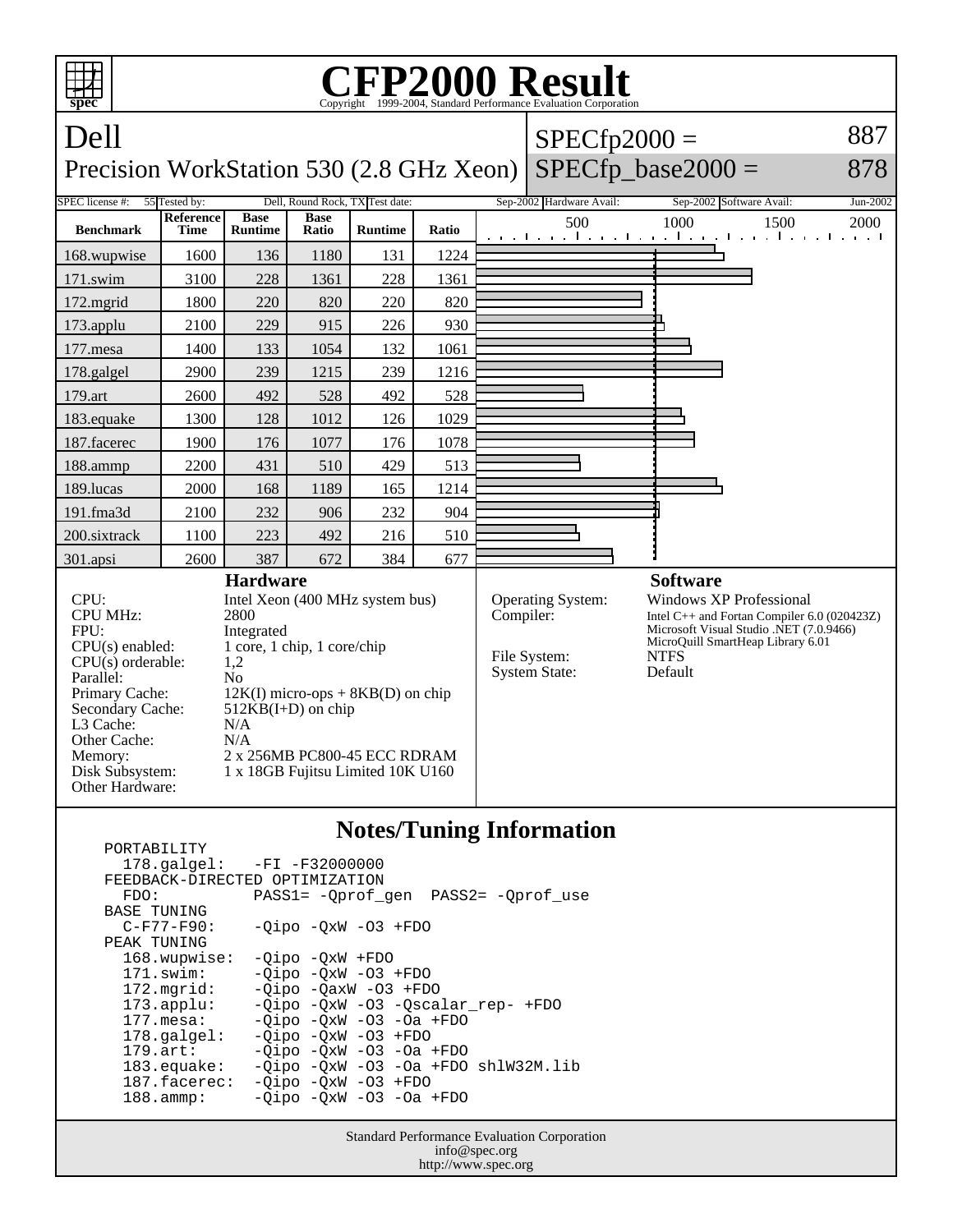

| FEEDBACK-DIRECTED OPTIMIZATION | $178.\text{qalgel}: -FI -F32000000$    |
|--------------------------------|----------------------------------------|
| FDO:                           | PASS1= -Oprof gen PASS2= -Oprof use    |
| BASE TUNING                    |                                        |
| $C-F77-F90:$                   | $-Oipo$ $-OxW$ $-O3$ $+FDO$            |
| PEAK TUNING                    |                                        |
| 168.wupwise:                   | $-Oipo$ $-OxW$ $+FDO$                  |
| $171$ .swim:                   | $-Oipo -QxW -O3 + FDO$                 |
| $172.\text{mgrid}:$            | $-Oipo$ $-OaxW$ $-O3$ $+FDO$           |
| $173.\text{applu}:$            | -Oipo -OxW -O3 -Oscalar rep- +FDO      |
| $177.\text{mesa}$ :            | $-Oipo$ $-OxW$ $-O3$ $-Oa$ $+FDO$      |
| $178.\text{qalgel}$ :          | $-Oipo -OXW -O3 + FDO$                 |
| $179.\arct:$                   | $-Oipo$ $-OxW$ $-O3$ $-Oa$ $+FDO$      |
| $183$ .equake:                 | $-Oipo -OXW -O3 -Oa + FDO sh1W32M.lib$ |
| 187.facerec:                   | $-Oipo -OXW -O3 + FDO$                 |
| $188.\text{amm}:$              | $-Oipo$ $-OxW$ $-O3$ $-Oa$ $+FDO$      |
|                                |                                        |

Standard Performance Evaluation Corporation info@spec.org http://www.spec.org